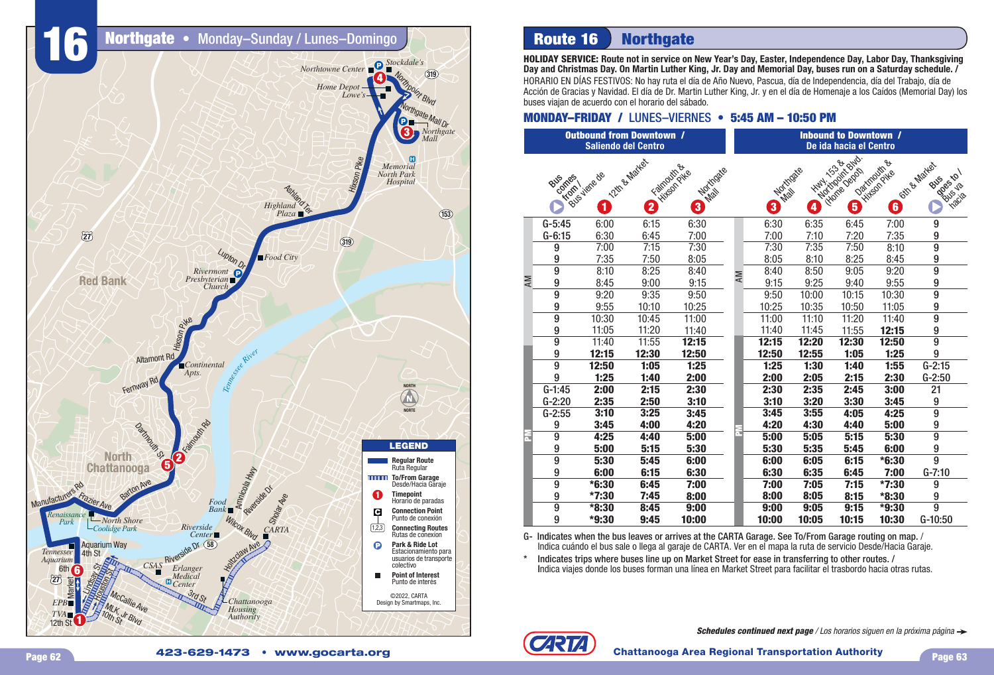

# **Route 16 Northgate**

**HOLIDAY SERVICE: Route not in service on New Year's Day, Easter, Independence Day, Labor Day, Thanksgiving Day and Christmas Day. On Martin Luther King, Jr. Day and Memorial Day, buses run on a Saturday schedule. /**

HORARIO EN DÍAS FESTIVOS: No hay ruta el día de Año Nuevo, Pascua, día de Independencia, día del Trabajo, día de Acción de Gracias y Navidad. El día de Dr. Martin Luther King, Jr. y en el día de Homenaje a los Caídos (Memorial Day) los buses viajan de acuerdo con el horario del sábado.

## **MONDAY–FRIDAY / LUNES–VIERNES • 5:45 AM - 10:50 PM**

|    |                             | <b>Outbound from Downtown /</b><br><b>Saliendo del Centro</b> |                                          |                                          |    | <b>Inbound to Downtown /</b><br>De ida hacia el Centro |                                                   |                                     |                                                      |                                                              |  |  |  |
|----|-----------------------------|---------------------------------------------------------------|------------------------------------------|------------------------------------------|----|--------------------------------------------------------|---------------------------------------------------|-------------------------------------|------------------------------------------------------|--------------------------------------------------------------|--|--|--|
|    | comes<br>BUS<br><b>Krom</b> | Bus viene de<br>1                                             | 12th & Matter<br>$\overline{\mathbf{2}}$ | Filthpoorth.com<br>Mortigate<br>$\bf{3}$ |    | 3                                                      | HWY: 1538<br>Martidase<br>$\overline{\mathbf{4}}$ | Montgomt Bud<br>Hitchie Depart<br>5 | Daxmouth &<br><b>Hitson Pike</b><br>$\boldsymbol{6}$ | <b>Gift &amp; Mates</b><br>Dooctor 12<br>BUS<br><b>Yacia</b> |  |  |  |
|    | $G-5:45$                    | 6:00                                                          | 6:15                                     | 6:30                                     |    | 6:30                                                   | 6:35                                              | 6:45                                | 7:00                                                 | 9                                                            |  |  |  |
|    | $G-6:15$                    | 6:30                                                          | 6:45                                     | 7:00                                     |    | 7:00                                                   | 7:10                                              | 7:20                                | 7:35                                                 | 9                                                            |  |  |  |
|    | 9                           | 7:00                                                          | 7:15                                     | 7:30                                     |    | 7:30                                                   | 7:35                                              | 7:50                                | 8:10                                                 | $\overline{9}$                                               |  |  |  |
|    | 9                           | 7:35                                                          | 7:50                                     | 8:05                                     |    | 8:05                                                   | 8:10                                              | 8:25                                | 8:45                                                 | 9                                                            |  |  |  |
|    | 9                           | 8:10                                                          | 8:25                                     | 8:40                                     | AM | 8:40                                                   | 8:50                                              | 9:05                                | 9:20                                                 | $\overline{9}$                                               |  |  |  |
| AM | 9                           | 8:45                                                          | 9:00                                     | 9:15                                     |    | 9:15                                                   | 9:25                                              | 9:40                                | 9:55                                                 | 9                                                            |  |  |  |
|    | 9                           | 9:20                                                          | 9:35                                     | 9:50                                     |    | 9:50                                                   | 10:00                                             | 10:15                               | 10:30                                                | $\overline{9}$                                               |  |  |  |
|    | 9                           | 9:55                                                          | 10:10                                    | 10:25                                    |    | 10:25                                                  | 10:35                                             | 10:50                               | 11:05                                                | 9                                                            |  |  |  |
|    | $\overline{9}$              | 10:30                                                         | 10:45                                    | 11:00                                    |    | 11:00                                                  | 11:10                                             | 11:20                               | 11:40                                                | $\overline{9}$                                               |  |  |  |
|    | 9                           | 11:05                                                         | 11:20                                    | 11:40                                    |    | 11:40                                                  | 11:45                                             | 11:55                               | 12:15                                                | 9                                                            |  |  |  |
|    | $\overline{9}$              | 11:40                                                         | 11:55                                    | 12:15                                    |    | 12:15                                                  | 12:20                                             | 12:30                               | 12:50                                                | $\overline{9}$                                               |  |  |  |
|    | 9                           | 12:15                                                         | 12:30                                    | 12:50                                    |    | 12:50                                                  | 12:55                                             | 1:05                                | 1:25                                                 | 9                                                            |  |  |  |
|    | $\overline{9}$              | 12:50                                                         | 1:05                                     | 1:25                                     |    | 1:25                                                   | 1:30                                              | 1:40                                | 1:55                                                 | $G-2:15$                                                     |  |  |  |
|    | 9                           | 1:25                                                          | 1:40                                     | 2:00                                     |    | 2:00                                                   | 2:05                                              | 2:15                                | 2:30                                                 | $G-2:50$                                                     |  |  |  |
|    | $G-1:45$                    | 2:00                                                          | 2:15                                     | 2:30                                     |    | 2:30                                                   | 2:35                                              | 2:45                                | 3:00                                                 | 21                                                           |  |  |  |
|    | $G-2:20$                    | 2:35                                                          | 2:50                                     | 3:10                                     |    | 3:10                                                   | 3:20                                              | 3:30                                | 3:45                                                 | 9                                                            |  |  |  |
|    | $G-2:55$                    | 3:10                                                          | 3:25                                     | 3:45                                     |    | 3:45                                                   | 3:55                                              | 4:05                                | 4:25                                                 | $\overline{9}$                                               |  |  |  |
|    | 9                           | 3:45                                                          | 4:00                                     | 4:20                                     |    | 4:20                                                   | 4:30                                              | 4:40                                | 5:00                                                 | 9                                                            |  |  |  |
| F  | $\overline{9}$              | 4:25                                                          | 4:40                                     | 5:00                                     |    | 5:00                                                   | 5:05                                              | 5:15                                | 5:30                                                 | $\overline{9}$                                               |  |  |  |
|    | 9                           | 5:00                                                          | 5:15                                     | 5:30                                     |    | 5:30                                                   | 5:35                                              | 5:45                                | 6:00                                                 | 9                                                            |  |  |  |
|    | $\overline{9}$              | 5:30                                                          | 5:45                                     | 6:00                                     |    | 6:00                                                   | 6:05                                              | 6:15                                | $*6:30$                                              | $\overline{9}$                                               |  |  |  |
|    | 9                           | 6:00                                                          | 6:15                                     | 6:30                                     |    | 6:30                                                   | 6:35                                              | 6:45                                | 7:00                                                 | $G-7:10$                                                     |  |  |  |
|    | 9                           | $*6:30$                                                       | 6:45                                     | 7:00                                     |    | 7:00                                                   | 7:05                                              | 7:15                                | $*7:30$                                              | 9                                                            |  |  |  |
|    | 9                           | *7:30                                                         | 7:45                                     | 8:00                                     |    | 8:00                                                   | 8:05                                              | 8:15                                | *8:30                                                | 9                                                            |  |  |  |
|    | $\overline{9}$              | *8:30                                                         | 8:45                                     | 9:00                                     |    | 9:00                                                   | 9:05                                              | 9:15                                | $*9:30$                                              | $\overline{9}$                                               |  |  |  |
|    | 9                           | *9:30                                                         | 9:45                                     | 10:00                                    |    | 10:00                                                  | 10:05                                             | 10:15                               | 10:30                                                | G-10:50                                                      |  |  |  |

G- Indicates when the bus leaves or arrives at the CARTA Garage. See To/From Garage routing on map. / Indica cuándo el bus sale o llega al garaje de CARTA. Ver en el mapa la ruta de servicio Desde/Hacia Garaje.

Indicates trips where buses line up on Market Street for ease in transferring to other routes. / Indica viajes donde los buses forman una línea en Market Street para facilitar el trasbordo hacia otras rutas.